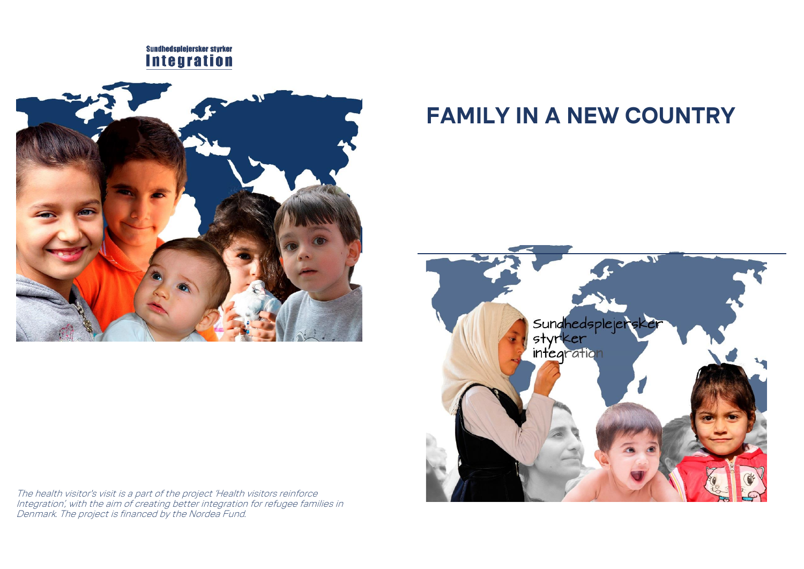



The health visitor's visit is a part of the project 'Health visitors reinforce Integration', with the aim of creating better integration for refugee families in Denmark. The project is financed by the Nordea Fund.

## **FAMILY IN A NEW COUNTRY**